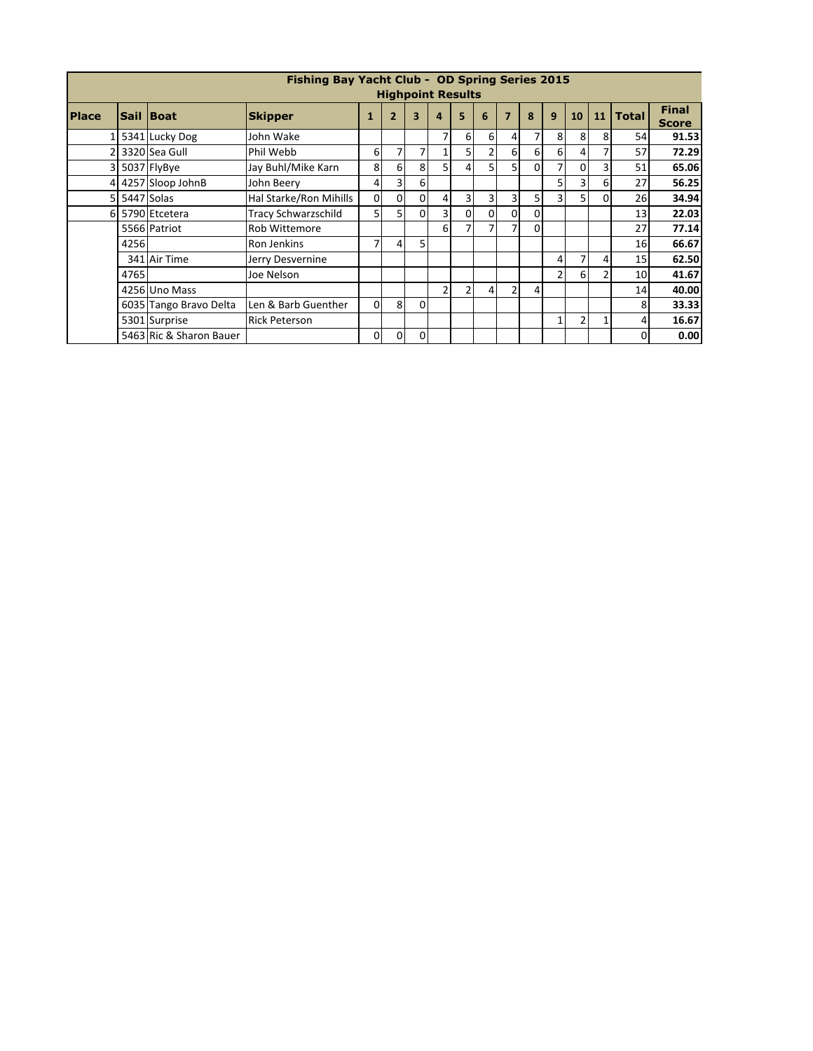|                | Fishing Bay Yacht Club - OD Spring Series 2015 |                         |                            |                |                |          |                |               |                |                |          |                |                |          |              |                              |
|----------------|------------------------------------------------|-------------------------|----------------------------|----------------|----------------|----------|----------------|---------------|----------------|----------------|----------|----------------|----------------|----------|--------------|------------------------------|
|                | <b>Highpoint Results</b>                       |                         |                            |                |                |          |                |               |                |                |          |                |                |          |              |                              |
| <b>Place</b>   |                                                | Sail Boat               | <b>Skipper</b>             |                | $\overline{2}$ | 3        | 4              | 5             | 6              |                | 8        | 9              | 10             | 11       | <b>Total</b> | <b>Final</b><br><b>Score</b> |
| 1              |                                                | 5341 Lucky Dog          | John Wake                  |                |                |          | 7              | $6 \mid$      | 6              | 4              | 7        | 8              | 8              | 8        | 54           | 91.53                        |
|                |                                                | 3320 Sea Gull           | Phil Webb                  | 6              | 7              |          |                |               | 2              | 61             | 6        | 6              | $\Delta$       | 7        | 57           | 72.29                        |
|                |                                                | 3 5037 FlyBye           | Jay Buhl/Mike Karn         | 8              | 6              | 8        | 5              | 4             | $\overline{5}$ | 5.             | $\Omega$ | 7              | 0              | 3        | 51           | 65.06                        |
| 4              |                                                | 4257 Sloop JohnB        | John Beery                 | 4              | 3              | 6        |                |               |                |                |          | 5              |                | 6        | 27           | 56.25                        |
| 5 <sub>1</sub> |                                                | 5447 Solas              | Hal Starke/Ron Mihills     | $\mathbf 0$    | 0              | 0        | 4              | 3             | 31             | 3              | 5        | 3 <sub>l</sub> |                | $\Omega$ | 26           | 34.94                        |
|                |                                                | 6 5790 Etcetera         | <b>Tracy Schwarzschild</b> | 5 <sup>1</sup> | 5              | 0        | 3              | $\Omega$      | 0              | 0              | 0        |                |                |          | 13           | 22.03                        |
|                |                                                | 5566 Patriot            | <b>Rob Wittemore</b>       |                |                |          | 6              |               | 7              | 7              | $\Omega$ |                |                |          | 27           | 77.14                        |
|                | 4256                                           |                         | <b>Ron Jenkins</b>         | 7              | $\overline{4}$ | 5        |                |               |                |                |          |                |                |          | 16           | 66.67                        |
|                |                                                | 341 Air Time            | Jerry Desvernine           |                |                |          |                |               |                |                |          | $\overline{4}$ |                | 4        | 15           | 62.50                        |
|                | 4765                                           |                         | Joe Nelson                 |                |                |          |                |               |                |                |          | $\overline{2}$ | -61            | 2        | 10           | 41.67                        |
|                |                                                | 4256 Uno Mass           |                            |                |                |          | $\overline{2}$ | $\mathcal{P}$ | $\overline{4}$ | $\overline{2}$ | 4        |                |                |          | 14           | 40.00                        |
|                |                                                | 6035 Tango Bravo Delta  | Len & Barb Guenther        | $\Omega$       | 8              | $\Omega$ |                |               |                |                |          |                |                |          | 8            | 33.33                        |
|                |                                                | 5301 Surprise           | <b>Rick Peterson</b>       |                |                |          |                |               |                |                |          | 1              | $\overline{2}$ | 1        | 4            | 16.67                        |
|                |                                                | 5463 Ric & Sharon Bauer |                            | $\mathbf 0$    | $\Omega$       | $\Omega$ |                |               |                |                |          |                |                |          | 0            | 0.00                         |